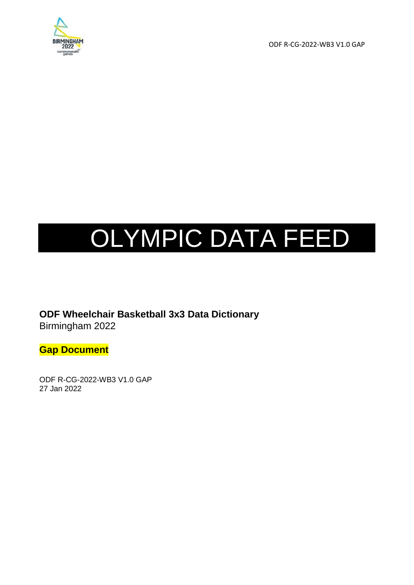

ODF R-CG-2022-WB3 V1.0 GAP

# OLYMPIC DATA FEED

**ODF Wheelchair Basketball 3x3 Data Dictionary** Birmingham 2022

**Gap Document**

ODF R-CG-2022-WB3 V1.0 GAP 27 Jan 2022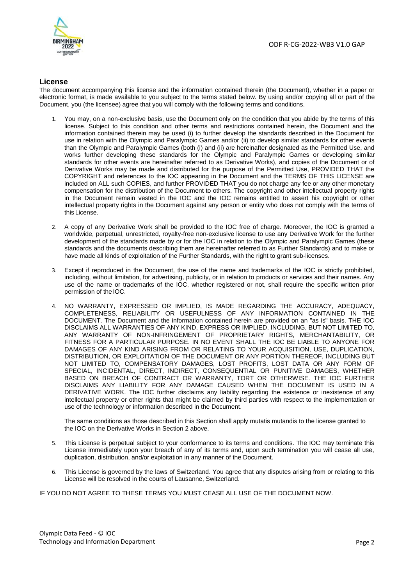

#### **License**

The document accompanying this license and the information contained therein (the Document), whether in a paper or electronic format, is made available to you subject to the terms stated below. By using and/or copying all or part of the Document, you (the licensee) agree that you will comply with the following terms and conditions.

- You may, on a non-exclusive basis, use the Document only on the condition that you abide by the terms of this license. Subject to this condition and other terms and restrictions contained herein, the Document and the information contained therein may be used (i) to further develop the standards described in the Document for use in relation with the Olympic and Paralympic Games and/or (ii) to develop similar standards for other events than the Olympic and Paralympic Games (both (i) and (ii) are hereinafter designated as the Permitted Use, and works further developing these standards for the Olympic and Paralympic Games or developing similar standards for other events are hereinafter referred to as Derivative Works), and copies of the Document or of Derivative Works may be made and distributed for the purpose of the Permitted Use, PROVIDED THAT the COPYRIGHT and references to the IOC appearing in the Document and the TERMS OF THIS LICENSE are included on ALL such COPIES, and further PROVIDED THAT you do not charge any fee or any other monetary compensation for the distribution of the Document to others. The copyright and other intellectual property rights in the Document remain vested in the IOC and the IOC remains entitled to assert his copyright or other intellectual property rights in the Document against any person or entity who does not comply with the terms of this License.
- 2. A copy of any Derivative Work shall be provided to the IOC free of charge. Moreover, the IOC is granted a worldwide, perpetual, unrestricted, royalty-free non-exclusive license to use any Derivative Work for the further development of the standards made by or for the IOC in relation to the Olympic and Paralympic Games (these standards and the documents describing them are hereinafter referred to as Further Standards) and to make or have made all kinds of exploitation of the Further Standards, with the right to grant sub-licenses.
- 3. Except if reproduced in the Document, the use of the name and trademarks of the IOC is strictly prohibited, including, without limitation, for advertising, publicity, or in relation to products or services and their names. Any use of the name or trademarks of the IOC, whether registered or not, shall require the specific written prior permission of the IOC.
- 4. NO WARRANTY, EXPRESSED OR IMPLIED, IS MADE REGARDING THE ACCURACY, ADEQUACY, COMPLETENESS, RELIABILITY OR USEFULNESS OF ANY INFORMATION CONTAINED IN THE DOCUMENT. The Document and the information contained herein are provided on an "as is" basis. THE IOC DISCLAIMS ALL WARRANTIES OF ANY KIND, EXPRESS OR IMPLIED, INCLUDING, BUT NOT LIMITED TO, ANY WARRANTY OF NON-INFRINGEMENT OF PROPRIETARY RIGHTS, MERCHANTABILITY, OR FITNESS FOR A PARTICULAR PURPOSE. IN NO EVENT SHALL THE IOC BE LIABLE TO ANYONE FOR DAMAGES OF ANY KIND ARISING FROM OR RELATING TO YOUR ACQUISITION, USE, DUPLICATION, DISTRIBUTION, OR EXPLOITATION OF THE DOCUMENT OR ANY PORTION THEREOF, INCLUDING BUT NOT LIMITED TO, COMPENSATORY DAMAGES, LOST PROFITS, LOST DATA OR ANY FORM OF SPECIAL, INCIDENTAL, DIRECT, INDIRECT, CONSEQUENTIAL OR PUNITIVE DAMAGES, WHETHER BASED ON BREACH OF CONTRACT OR WARRANTY, TORT OR OTHERWISE. THE IOC FURTHER DISCLAIMS ANY LIABILITY FOR ANY DAMAGE CAUSED WHEN THE DOCUMENT IS USED IN A DERIVATIVE WORK. The IOC further disclaims any liability regarding the existence or inexistence of any intellectual property or other rights that might be claimed by third parties with respect to the implementation or use of the technology or information described in the Document.

The same conditions as those described in this Section shall apply mutatis mutandis to the license granted to the IOC on the Derivative Works in Section 2 above.

- This License is perpetual subject to your conformance to its terms and conditions. The IOC may terminate this License immediately upon your breach of any of its terms and, upon such termination you will cease all use, duplication, distribution, and/or exploitation in any manner of the Document.
- 6. This License is governed by the laws of Switzerland. You agree that any disputes arising from or relating to this License will be resolved in the courts of Lausanne, Switzerland.

IF YOU DO NOT AGREE TO THESE TERMS YOU MUST CEASE ALL USE OF THE DOCUMENT NOW.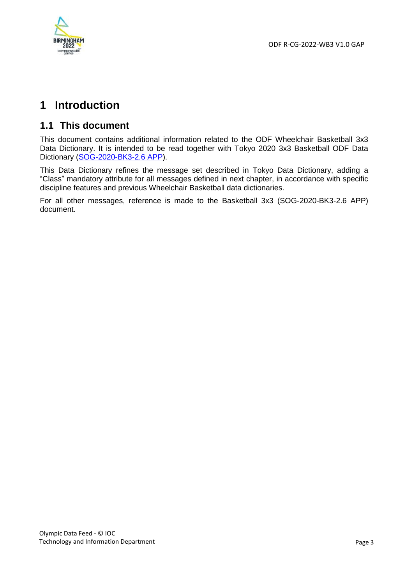

# **1 Introduction**

## **1.1 This document**

This document contains additional information related to the ODF Wheelchair Basketball 3x3 Data Dictionary. It is intended to be read together with Tokyo 2020 3x3 Basketball ODF Data Dictionary [\(SOG-2020-BK3-2.6 APP\)](https://odf.olympictech.org/2020-Tokyo/OG/PDF/ODF%203x3%20Basketball%20Data%20Dictionary.pdf).

This Data Dictionary refines the message set described in Tokyo Data Dictionary, adding a "Class" mandatory attribute for all messages defined in next chapter, in accordance with specific discipline features and previous Wheelchair Basketball data dictionaries.

For all other messages, reference is made to the Basketball 3x3 (SOG-2020-BK3-2.6 APP) document.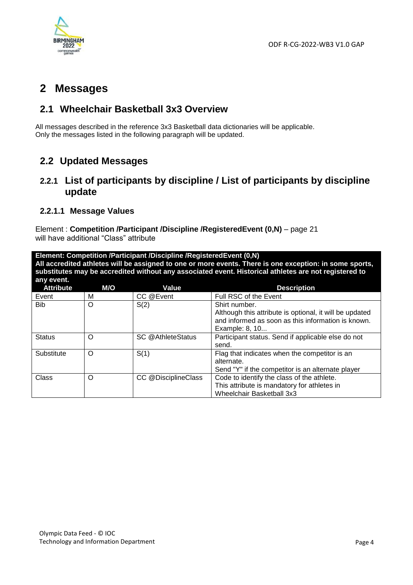

## **2 Messages**

## **2.1 Wheelchair Basketball 3x3 Overview**

All messages described in the reference 3x3 Basketball data dictionaries will be applicable. Only the messages listed in the following paragraph will be updated.

## **2.2 Updated Messages**

### **2.2.1 List of participants by discipline / List of participants by discipline update**

#### **2.2.1.1 Message Values**

Element : **Competition /Participant /Discipline /RegisteredEvent (0,N)** – page 21 will have additional "Class" attribute

**Element: Competition /Participant /Discipline /RegisteredEvent (0,N) All accredited athletes will be assigned to one or more events. There is one exception: in some sports, substitutes may be accredited without any associated event. Historical athletes are not registered to any event.**

| <b>Attribute</b> | M/O | Value               | <b>Description</b>                                                                                                                               |
|------------------|-----|---------------------|--------------------------------------------------------------------------------------------------------------------------------------------------|
| Event            | M   | CC @Event           | Full RSC of the Event                                                                                                                            |
| <b>Bib</b>       | O   | S(2)                | Shirt number.<br>Although this attribute is optional, it will be updated<br>and informed as soon as this information is known.<br>Example: 8, 10 |
| <b>Status</b>    | Ω   | SC @AthleteStatus   | Participant status. Send if applicable else do not<br>send.                                                                                      |
| Substitute       | O   | S(1)                | Flag that indicates when the competitor is an<br>alternate.<br>Send "Y" if the competitor is an alternate player                                 |
| Class            | O   | CC @DisciplineClass | Code to identify the class of the athlete.<br>This attribute is mandatory for athletes in<br>Wheelchair Basketball 3x3                           |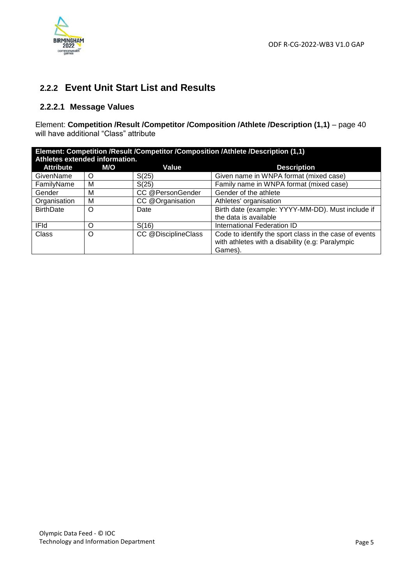

## **2.2.2 Event Unit Start List and Results**

#### **2.2.2.1 Message Values**

Element: **Competition /Result /Competitor /Composition /Athlete /Description (1,1)** – page 40 will have additional "Class" attribute

| Element: Competition /Result /Competitor /Composition /Athlete /Description (1,1)<br>Athletes extended information. |          |                     |                                                        |
|---------------------------------------------------------------------------------------------------------------------|----------|---------------------|--------------------------------------------------------|
| <b>Attribute</b>                                                                                                    | M/O      | Value               | <b>Description</b>                                     |
| GivenName                                                                                                           | O        | S(25)               | Given name in WNPA format (mixed case)                 |
| FamilyName                                                                                                          | M        | S(25)               | Family name in WNPA format (mixed case)                |
| Gender                                                                                                              | М        | CC @PersonGender    | Gender of the athlete                                  |
| Organisation                                                                                                        | M        | CC @Organisation    | Athletes' organisation                                 |
| <b>BirthDate</b>                                                                                                    | $\Omega$ | Date                | Birth date (example: YYYY-MM-DD). Must include if      |
|                                                                                                                     |          |                     | the data is available                                  |
| <b>IFId</b>                                                                                                         | $\Omega$ | S(16)               | International Federation ID                            |
| Class                                                                                                               | $\Omega$ | CC @DisciplineClass | Code to identify the sport class in the case of events |
|                                                                                                                     |          |                     | with athletes with a disability (e.g: Paralympic       |
|                                                                                                                     |          |                     | Games).                                                |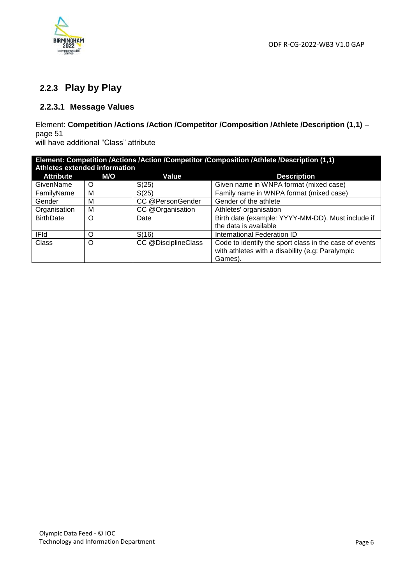

## **2.2.3 Play by Play**

#### **2.2.3.1 Message Values**

#### Element: **Competition /Actions /Action /Competitor /Composition /Athlete /Description (1,1)** – page 51 will have additional "Class" attribute

| Element: Competition /Actions /Action /Competitor /Composition /Athlete /Description (1,1)<br>Athletes extended information |            |                     |                                                        |
|-----------------------------------------------------------------------------------------------------------------------------|------------|---------------------|--------------------------------------------------------|
| <b>Attribute</b>                                                                                                            | <b>M/O</b> | Value               | <b>Description</b>                                     |
| GivenName                                                                                                                   | O          | S(25)               | Given name in WNPA format (mixed case)                 |
| FamilyName                                                                                                                  | м          | S(25)               | Family name in WNPA format (mixed case)                |
| Gender                                                                                                                      | м          | CC @PersonGender    | Gender of the athlete                                  |
| Organisation                                                                                                                | м          | CC @Organisation    | Athletes' organisation                                 |
| <b>BirthDate</b>                                                                                                            | $\Omega$   | Date                | Birth date (example: YYYY-MM-DD). Must include if      |
|                                                                                                                             |            |                     | the data is available                                  |
| <b>IFId</b>                                                                                                                 | ∩          | S(16)               | International Federation ID                            |
| Class                                                                                                                       | $\Omega$   | CC @DisciplineClass | Code to identify the sport class in the case of events |
|                                                                                                                             |            |                     | with athletes with a disability (e.g: Paralympic       |
|                                                                                                                             |            |                     | Games).                                                |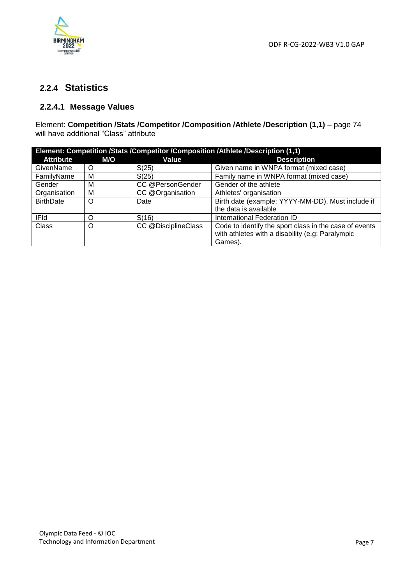

## **2.2.4 Statistics**

#### **2.2.4.1 Message Values**

Element: **Competition /Stats /Competitor /Composition /Athlete /Description (1,1)** – page 74 will have additional "Class" attribute

| Element: Competition /Stats /Competitor /Composition /Athlete /Description (1,1) |          |                     |                                                        |
|----------------------------------------------------------------------------------|----------|---------------------|--------------------------------------------------------|
| <b>Attribute</b>                                                                 | M/O      | Value               | <b>Description</b>                                     |
| GivenName                                                                        | O        | S(25)               | Given name in WNPA format (mixed case)                 |
| FamilyName                                                                       | M        | S(25)               | Family name in WNPA format (mixed case)                |
| Gender                                                                           | M        | CC @PersonGender    | Gender of the athlete                                  |
| Organisation                                                                     | M        | CC @Organisation    | Athletes' organisation                                 |
| <b>BirthDate</b>                                                                 | $\Omega$ | Date                | Birth date (example: YYYY-MM-DD). Must include if      |
|                                                                                  |          |                     | the data is available                                  |
| <b>IFId</b>                                                                      | ∩        | S(16)               | International Federation ID                            |
| Class                                                                            | O        | CC @DisciplineClass | Code to identify the sport class in the case of events |
|                                                                                  |          |                     | with athletes with a disability (e.g: Paralympic       |
|                                                                                  |          |                     | Games).                                                |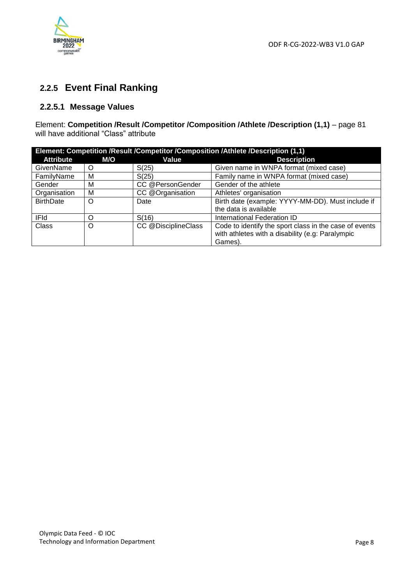

## **2.2.5 Event Final Ranking**

#### **2.2.5.1 Message Values**

Element: **Competition /Result /Competitor /Composition /Athlete /Description (1,1)** – page 81 will have additional "Class" attribute

| Element: Competition /Result /Competitor /Composition /Athlete /Description (1,1) |     |                     |                                                        |
|-----------------------------------------------------------------------------------|-----|---------------------|--------------------------------------------------------|
| <b>Attribute</b>                                                                  | M/O | Value               | <b>Description</b>                                     |
| GivenName                                                                         | O   | S(25)               | Given name in WNPA format (mixed case)                 |
| FamilyName                                                                        | M   | S(25)               | Family name in WNPA format (mixed case)                |
| Gender                                                                            | M   | CC @PersonGender    | Gender of the athlete                                  |
| Organisation                                                                      | M   | CC @Organisation    | Athletes' organisation                                 |
| <b>BirthDate</b>                                                                  | O   | Date                | Birth date (example: YYYY-MM-DD). Must include if      |
|                                                                                   |     |                     | the data is available                                  |
| <b>IFId</b>                                                                       | ∩   | S(16)               | International Federation ID                            |
| Class                                                                             | O   | CC @DisciplineClass | Code to identify the sport class in the case of events |
|                                                                                   |     |                     | with athletes with a disability (e.g: Paralympic       |
|                                                                                   |     |                     | Games).                                                |